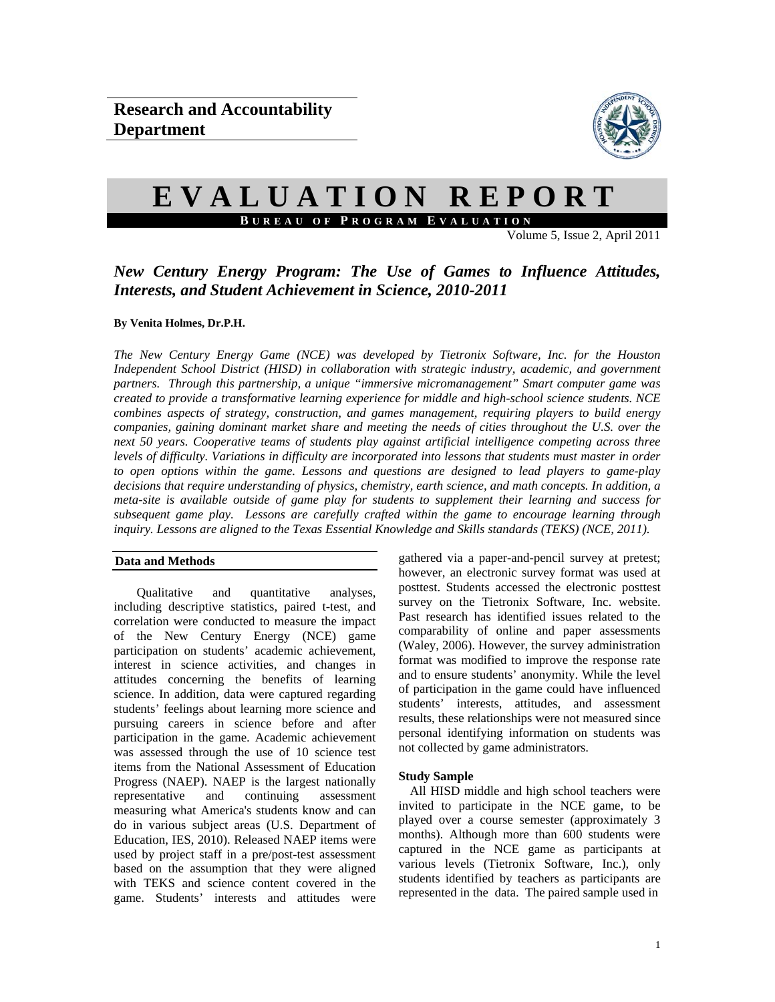

# **EVALUATION REPORT B UREAU OF P ROGRAM E VALUATION**

Volume 5, Issue 2, April 2011

## *New Century Energy Program: The Use of Games to Influence Attitudes, Interests, and Student Achievement in Science, 2010-2011*

## **By Venita Holmes, Dr.P.H.**

*The New Century Energy Game (NCE) was developed by Tietronix Software, Inc. for the Houston Independent School District (HISD) in collaboration with strategic industry, academic, and government partners. Through this partnership, a unique "immersive micromanagement" Smart computer game was created to provide a transformative learning experience for middle and high-school science students. NCE combines aspects of strategy, construction, and games management, requiring players to build energy companies, gaining dominant market share and meeting the needs of cities throughout the U.S. over the next 50 years. Cooperative teams of students play against artificial intelligence competing across three levels of difficulty. Variations in difficulty are incorporated into lessons that students must master in order to open options within the game. Lessons and questions are designed to lead players to game-play decisions that require understanding of physics, chemistry, earth science, and math concepts. In addition, a meta-site is available outside of game play for students to supplement their learning and success for subsequent game play. Lessons are carefully crafted within the game to encourage learning through*  inquiry. Lessons are aligned to the Texas Essential Knowledge and Skills standards (TEKS) (NCE, 2011).

## **Data and Methods**

Qualitative and quantitative analyses, including descriptive statistics, paired t-test, and correlation were conducted to measure the impact of the New Century Energy (NCE) game participation on students' academic achievement, interest in science activities, and changes in attitudes concerning the benefits of learning science. In addition, data were captured regarding students' feelings about learning more science and pursuing careers in science before and after participation in the game. Academic achievement was assessed through the use of 10 science test items from the National Assessment of Education Progress (NAEP). NAEP is the largest nationally representative and continuing assessment measuring what America's students know and can do in various subject areas (U.S. Department of Education, IES, 2010). Released NAEP items were used by project staff in a pre/post-test assessment based on the assumption that they were aligned with TEKS and science content covered in the game. Students' interests and attitudes were gathered via a paper-and-pencil survey at pretest; however, an electronic survey format was used at posttest. Students accessed the electronic posttest survey on the Tietronix Software, Inc. website. Past research has identified issues related to the comparability of online and paper assessments (Waley, 2006). However, the survey administration format was modified to improve the response rate and to ensure students' anonymity. While the level of participation in the game could have influenced students' interests, attitudes, and assessment results, these relationships were not measured since personal identifying information on students was not collected by game administrators.

## **Study Sample**

All HISD middle and high school teachers were invited to participate in the NCE game, to be played over a course semester (approximately 3 months). Although more than 600 students were captured in the NCE game as participants at various levels (Tietronix Software, Inc.), only students identified by teachers as participants are represented in the data. The paired sample used in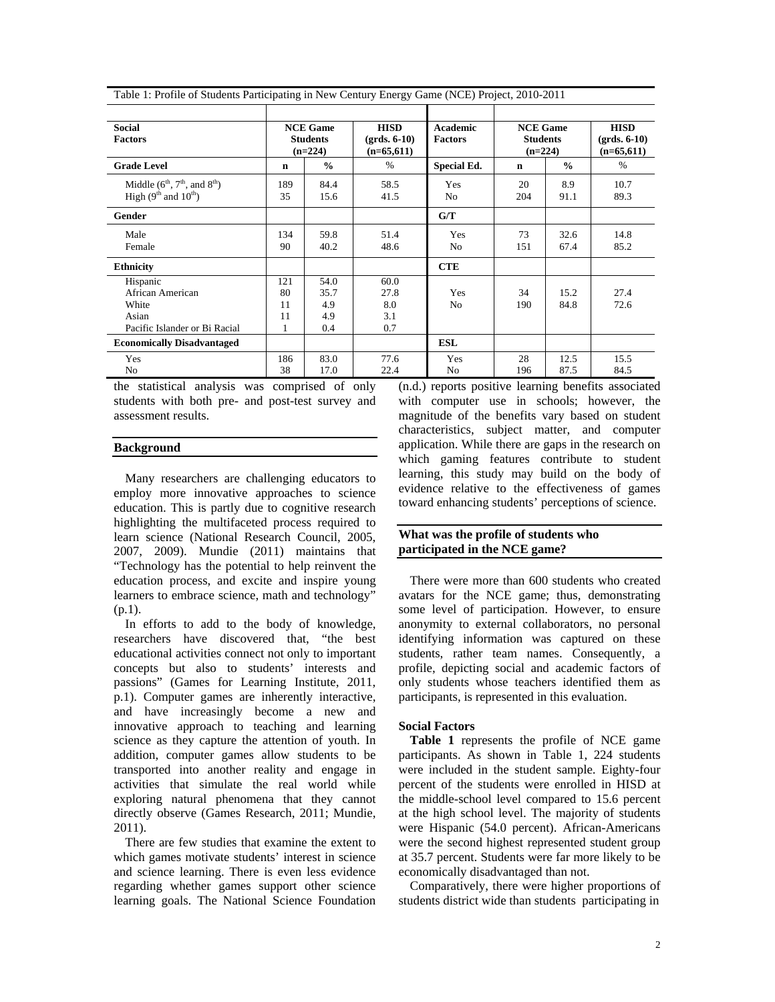| <b>Social</b><br><b>Factors</b>                                                 |                            | <b>NCE Game</b><br><b>Students</b><br>$(n=224)$ | <b>HISD</b><br>$(grds. 6-10)$<br>$(n=65,611)$ | <b>Academic</b><br><b>Factors</b> | <b>NCE Game</b><br><b>Students</b><br>$(n=224)$ |               | <b>HISD</b><br>$(grds. 6-10)$<br>$(n=65,611)$ |  |
|---------------------------------------------------------------------------------|----------------------------|-------------------------------------------------|-----------------------------------------------|-----------------------------------|-------------------------------------------------|---------------|-----------------------------------------------|--|
| <b>Grade Level</b>                                                              | $\mathbf n$                | $\frac{0}{0}$                                   | $\%$                                          | <b>Special Ed.</b>                | $\mathbf n$                                     | $\frac{0}{0}$ | $\%$                                          |  |
| Middle $(6^{th}, 7^{th},$ and $8^{th})$<br>High $(9th$ and $10th)$              | 189<br>35                  | 84.4<br>15.6                                    | 58.5<br>41.5                                  | Yes<br>N <sub>0</sub>             | 20<br>204                                       | 8.9<br>91.1   | 10.7<br>89.3                                  |  |
| Gender                                                                          |                            |                                                 |                                               | G/T                               |                                                 |               |                                               |  |
| Male<br>Female                                                                  | 134<br>90                  | 59.8<br>40.2                                    | 51.4<br>48.6                                  | Yes<br>N <sub>0</sub>             | 73<br>151                                       | 32.6<br>67.4  | 14.8<br>85.2                                  |  |
| <b>Ethnicity</b>                                                                |                            |                                                 |                                               | <b>CTE</b>                        |                                                 |               |                                               |  |
| Hispanic<br>African American<br>White<br>Asian<br>Pacific Islander or Bi Racial | 121<br>80<br>11<br>11<br>1 | 54.0<br>35.7<br>4.9<br>4.9<br>0.4               | 60.0<br>27.8<br>8.0<br>3.1<br>0.7             | Yes<br>N <sub>0</sub>             | 34<br>190                                       | 15.2<br>84.8  | 27.4<br>72.6                                  |  |
| <b>Economically Disadvantaged</b>                                               |                            |                                                 |                                               | <b>ESL</b>                        |                                                 |               |                                               |  |
| Yes<br>N <sub>0</sub>                                                           | 186<br>38                  | 83.0<br>17.0                                    | 77.6<br>22.4                                  | Yes<br>N <sub>0</sub>             | 28<br>196                                       | 12.5<br>87.5  | 15.5<br>84.5                                  |  |

Table 1: Profile of Students Participating in New Century Energy Game (NCE) Project, 2010-2011

the statistical analysis was comprised of only students with both pre- and post-test survey and assessment results.

#### **Background**

 Many researchers are challenging educators to employ more innovative approaches to science education. This is partly due to cognitive research highlighting the multifaceted process required to learn science (National Research Council, 2005, 2007, 2009). Mundie (2011) maintains that "Technology has the potential to help reinvent the education process, and excite and inspire young learners to embrace science, math and technology" (p.1).

 In efforts to add to the body of knowledge, researchers have discovered that, "the best educational activities connect not only to important concepts but also to students' interests and passions" (Games for Learning Institute, 2011, p.1). Computer games are inherently interactive, and have increasingly become a new and innovative approach to teaching and learning science as they capture the attention of youth. In addition, computer games allow students to be transported into another reality and engage in activities that simulate the real world while exploring natural phenomena that they cannot directly observe (Games Research, 2011; Mundie, 2011).

There are few studies that examine the extent to which games motivate students' interest in science and science learning. There is even less evidence regarding whether games support other science learning goals. The National Science Foundation (n.d.) reports positive learning benefits associated with computer use in schools; however, the magnitude of the benefits vary based on student characteristics, subject matter, and computer application. While there are gaps in the research on which gaming features contribute to student learning, this study may build on the body of evidence relative to the effectiveness of games toward enhancing students' perceptions of science.

## **What was the profile of students who participated in the NCE game?**

There were more than 600 students who created avatars for the NCE game; thus, demonstrating some level of participation. However, to ensure anonymity to external collaborators, no personal identifying information was captured on these students, rather team names. Consequently, a profile, depicting social and academic factors of only students whose teachers identified them as participants, is represented in this evaluation.

## **Social Factors**

**Table 1** represents the profile of NCE game participants. As shown in Table 1, 224 students were included in the student sample. Eighty-four percent of the students were enrolled in HISD at the middle-school level compared to 15.6 percent at the high school level. The majority of students were Hispanic (54.0 percent). African-Americans were the second highest represented student group at 35.7 percent. Students were far more likely to be economically disadvantaged than not.

Comparatively, there were higher proportions of students district wide than students participating in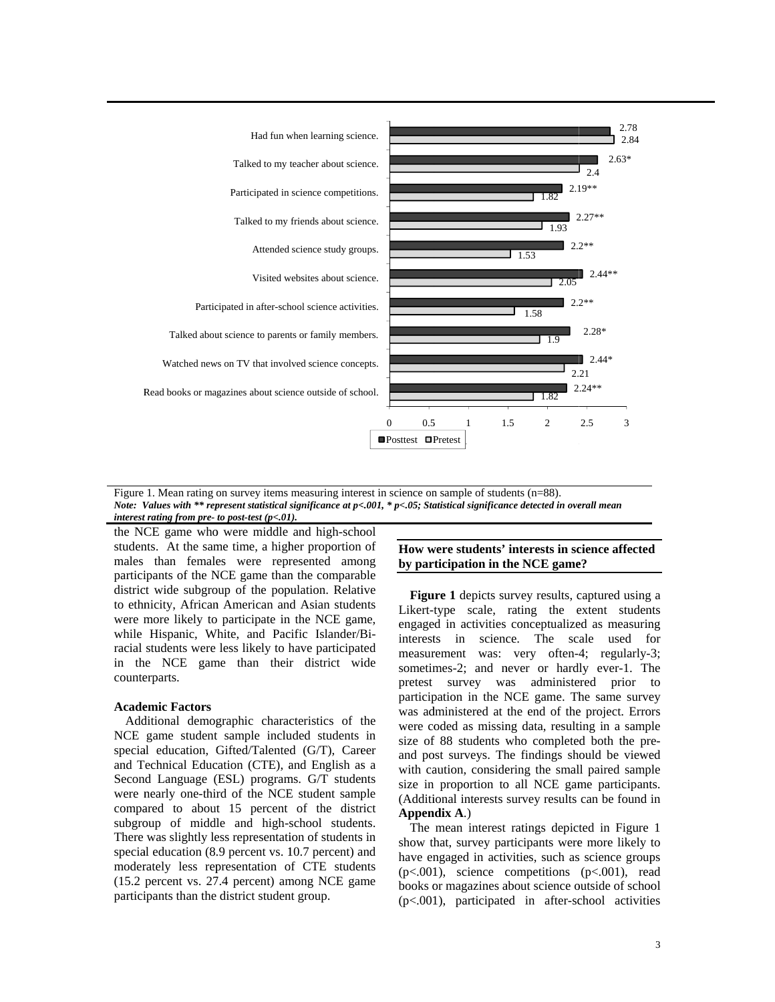

Figure 1. Mean rating on survey items measuring interest in science on sample of students (n=88). *Note: V Values with \*\* rep present statistical significance at p< <.001, \* p<.05; Sta atistical significan nce detected in ove erall mean interest rating from pre- to post-test (p<.01).* 

the NCE game who were middle and high-school students. At the same time, a higher proportion of males than females were represented among participants of the NCE game than the comparable district wide subgroup of the population. Relative to ethnicity, African American and Asian students were more likely to participate in the NCE game, while Hispanic, White, and Pacific Islander/Biracial students were less likely to have participated in the NCE game than their district wide counterparts.

## **Acade emic Factors**

Additional demographic characteristics of the NCE game student sample included students in special education, Gifted/Talented (G/T), Career and Technical Education (CTE), and English as a Second Language (ESL) programs. G/T students were nearly one-third of the NCE student sample compared to about 15 percent of the district subgroup of middle and high-school students. There was slightly less representation of students in special education (8.9 percent vs. 10.7 percent) and moderately less representation of CTE students (15.2 percent vs. 27.4 percent) among NCE game participants than the district student group.

## **How were students' interests in science affected** by participation in the NCE game?

Figure 1 depicts survey results, captured using a Likert-type scale, rating the extent students engaged in activities conceptualized as measuring interests in science. The scale used for measurement was: very often-4; regularly-3; sometimes-2; and never or hardly ever-1. The pretest survey was administered prior to participation in the NCE game. The same survey was administered at the end of the project. Errors were coded as missing data, resulting in a sample size of 88 students who completed both the preand post surveys. The findings should be viewed with caution, considering the small paired sample size in proportion to all NCE game participants. (Additional interests survey results can be found in **Appen dix A**.)

The mean interest ratings depicted in Figure 1 show that, survey participants were more likely to have engaged in activities, such as science groups  $(p<.001)$ , science competitions  $(p<.001)$ , read books or magazines about science outside of school (p<.001), participated in after-school activities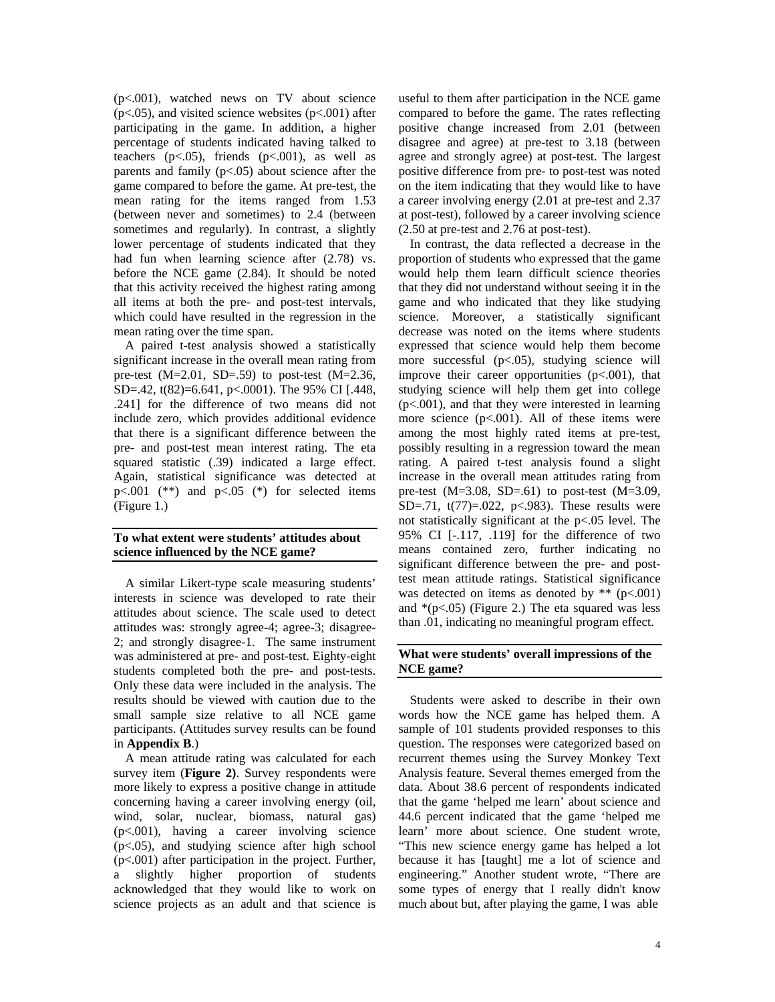(p<.001), watched news on TV about science  $(p<.05)$ , and visited science websites  $(p<.001)$  after participating in the game. In addition, a higher percentage of students indicated having talked to teachers  $(p<.05)$ , friends  $(p<.001)$ , as well as parents and family  $(p<.05)$  about science after the game compared to before the game. At pre-test, the mean rating for the items ranged from 1.53 (between never and sometimes) to 2.4 (between sometimes and regularly). In contrast, a slightly lower percentage of students indicated that they had fun when learning science after (2.78) vs. before the NCE game (2.84). It should be noted that this activity received the highest rating among all items at both the pre- and post-test intervals, which could have resulted in the regression in the mean rating over the time span.

A paired t-test analysis showed a statistically significant increase in the overall mean rating from pre-test  $(M=2.01, SD=.59)$  to post-test  $(M=2.36,$ SD=.42, t(82)=6.641, p<.0001). The 95% CI [.448, .241] for the difference of two means did not include zero, which provides additional evidence that there is a significant difference between the pre- and post-test mean interest rating. The eta squared statistic (.39) indicated a large effect. Again, statistical significance was detected at p $<001$  (\*\*) and p $<05$  (\*) for selected items (Figure 1.)

## **To what extent were students' attitudes about science influenced by the NCE game?**

A similar Likert-type scale measuring students' interests in science was developed to rate their attitudes about science. The scale used to detect attitudes was: strongly agree-4; agree-3; disagree-2; and strongly disagree-1. The same instrument was administered at pre- and post-test. Eighty-eight students completed both the pre- and post-tests. Only these data were included in the analysis. The results should be viewed with caution due to the small sample size relative to all NCE game participants. (Attitudes survey results can be found in **Appendix B**.)

A mean attitude rating was calculated for each survey item (**Figure 2)**. Survey respondents were more likely to express a positive change in attitude concerning having a career involving energy (oil, wind, solar, nuclear, biomass, natural gas) (p<.001), having a career involving science (p<.05), and studying science after high school (p<.001) after participation in the project. Further, a slightly higher proportion of students acknowledged that they would like to work on science projects as an adult and that science is

useful to them after participation in the NCE game compared to before the game. The rates reflecting positive change increased from 2.01 (between disagree and agree) at pre-test to 3.18 (between agree and strongly agree) at post-test. The largest positive difference from pre- to post-test was noted on the item indicating that they would like to have a career involving energy (2.01 at pre-test and 2.37 at post-test), followed by a career involving science (2.50 at pre-test and 2.76 at post-test).

In contrast, the data reflected a decrease in the proportion of students who expressed that the game would help them learn difficult science theories that they did not understand without seeing it in the game and who indicated that they like studying science. Moreover, a statistically significant decrease was noted on the items where students expressed that science would help them become more successful (p<.05), studying science will improve their career opportunities (p<.001), that studying science will help them get into college (p<.001), and that they were interested in learning more science  $(p<.001)$ . All of these items were among the most highly rated items at pre-test, possibly resulting in a regression toward the mean rating. A paired t-test analysis found a slight increase in the overall mean attitudes rating from pre-test  $(M=3.08, SD=.61)$  to post-test  $(M=3.09,$ SD=.71, t(77)=.022, p<.983). These results were not statistically significant at the p<.05 level. The 95% CI [-.117, .119] for the difference of two means contained zero, further indicating no significant difference between the pre- and posttest mean attitude ratings. Statistical significance was detected on items as denoted by \*\* (p<.001) and  $*(p<.05)$  (Figure 2.) The eta squared was less than .01, indicating no meaningful program effect.

## **What were students' overall impressions of the NCE game?**

Students were asked to describe in their own words how the NCE game has helped them. A sample of 101 students provided responses to this question. The responses were categorized based on recurrent themes using the Survey Monkey Text Analysis feature. Several themes emerged from the data. About 38.6 percent of respondents indicated that the game 'helped me learn' about science and 44.6 percent indicated that the game 'helped me learn' more about science. One student wrote, "This new science energy game has helped a lot because it has [taught] me a lot of science and engineering." Another student wrote, "There are some types of energy that I really didn't know much about but, after playing the game, I was able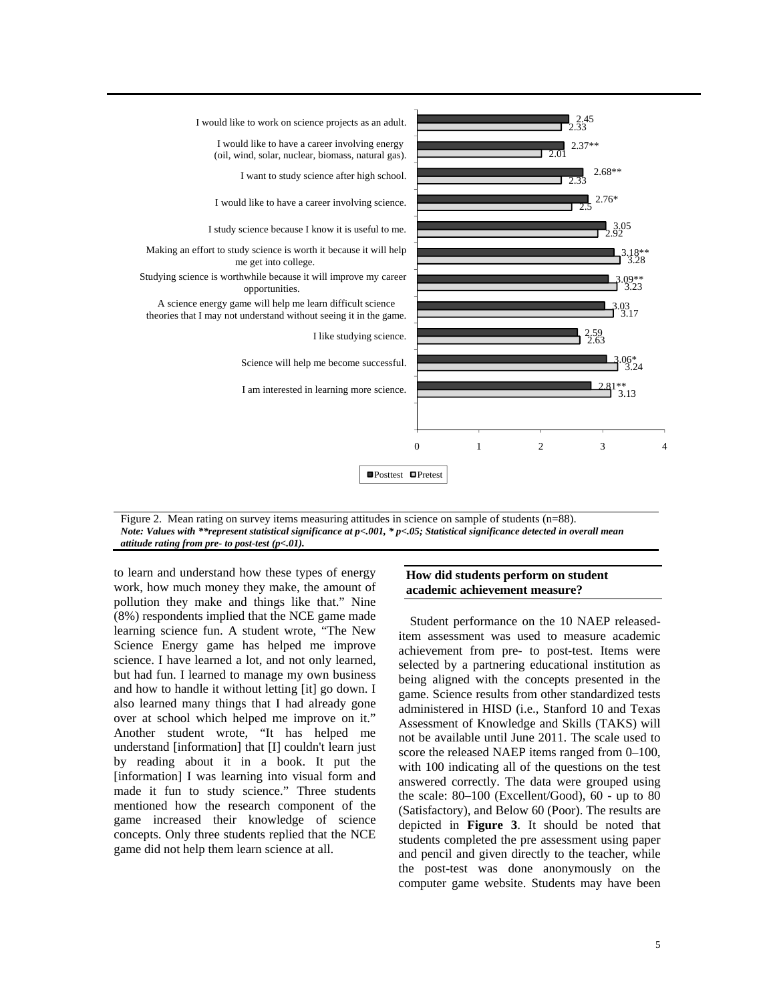

Figure 2. Mean rating on survey items measuring attitudes in science on sample of students (n=88). *Note: Values with \*\*represent statistical significance at p<.001, \* p<.05; Statistical significance detected in overall mean attitude rating from pre- to post-test (p<.01).* 

to learn and understand how these types of energy work, how much money they make, the amount of pollution they make and things like that." Nine (8%) respondents implied that the NCE game made learning science fun. A student wrote, "The New Science Energy game has helped me improve science. I have learned a lot, and not only learned, but had fun. I learned to manage my own business and how to handle it without letting [it] go down. I also learned many things that I had already gone over at school which helped me improve on it." Another student wrote, "It has helped me understand [information] that [I] couldn't learn just by reading about it in a book. It put the [information] I was learning into visual form and made it fun to study science." Three students mentioned how the research component of the game increased their knowledge of science concepts. Only three students replied that the NCE game did not help them learn science at all.

## **How did students perform on student academic achievement measure?**

Student performance on the 10 NAEP releaseditem assessment was used to measure academic achievement from pre- to post-test. Items were selected by a partnering educational institution as being aligned with the concepts presented in the game. Science results from other standardized tests administered in HISD (i.e., Stanford 10 and Texas Assessment of Knowledge and Skills (TAKS) will not be available until June 2011. The scale used to score the released NAEP items ranged from 0–100, with 100 indicating all of the questions on the test answered correctly. The data were grouped using the scale: 80–100 (Excellent/Good), 60 - up to 80 (Satisfactory), and Below 60 (Poor). The results are depicted in **Figure 3**. It should be noted that students completed the pre assessment using paper and pencil and given directly to the teacher, while the post-test was done anonymously on the computer game website. Students may have been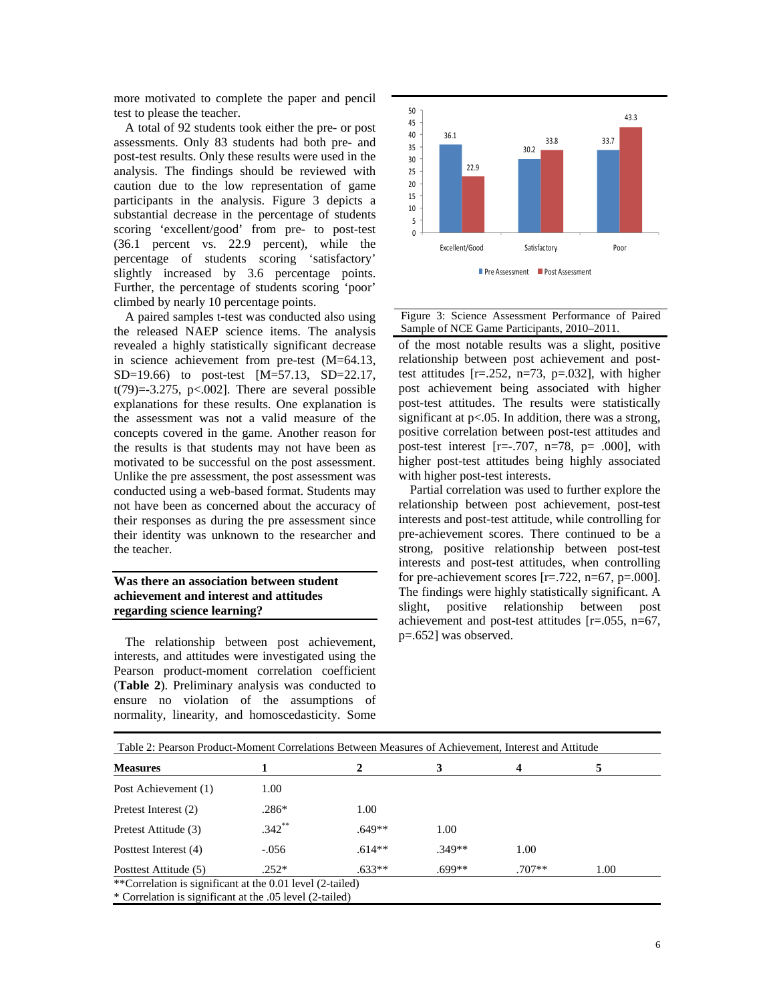more motivated to complete the paper and pencil test to please the teacher.

A total of 92 students took either the pre- or post assessments. Only 83 students had both pre- and post-test results. Only these results were used in the analysis. The findings should be reviewed with caution due to the low representation of game participants in the analysis. Figure 3 depicts a substantial decrease in the percentage of students scoring 'excellent/good' from pre- to post-test (36.1 percent vs. 22.9 percent), while the percentage of students scoring 'satisfactory' slightly increased by 3.6 percentage points. Further, the percentage of students scoring 'poor' climbed by nearly 10 percentage points.

A paired samples t-test was conducted also using the released NAEP science items. The analysis revealed a highly statistically significant decrease in science achievement from pre-test (M=64.13, SD=19.66) to post-test [M=57.13, SD=22.17,  $t(79)=-3.275$ ,  $p<.002$ ]. There are several possible explanations for these results. One explanation is the assessment was not a valid measure of the concepts covered in the game. Another reason for the results is that students may not have been as motivated to be successful on the post assessment. Unlike the pre assessment, the post assessment was conducted using a web-based format. Students may not have been as concerned about the accuracy of their responses as during the pre assessment since their identity was unknown to the researcher and the teacher.

## **Was there an association between student achievement and interest and attitudes regarding science learning?**

The relationship between post achievement, interests, and attitudes were investigated using the Pearson product-moment correlation coefficient (**Table 2**). Preliminary analysis was conducted to ensure no violation of the assumptions of normality, linearity, and homoscedasticity. Some





of the most notable results was a slight, positive relationship between post achievement and posttest attitudes [r=.252, n=73, p=.032], with higher post achievement being associated with higher post-test attitudes. The results were statistically significant at p<.05. In addition, there was a strong, positive correlation between post-test attitudes and post-test interest  $[r=-.707, n=78, p= .000]$ , with higher post-test attitudes being highly associated with higher post-test interests.

Partial correlation was used to further explore the relationship between post achievement, post-test interests and post-test attitude, while controlling for pre-achievement scores. There continued to be a strong, positive relationship between post-test interests and post-test attitudes, when controlling for pre-achievement scores  $[r=.722, n=67, p=.000]$ . The findings were highly statistically significant. A slight, positive relationship between post achievement and post-test attitudes [r=.055, n=67, p=.652] was observed.

| <b>Measures</b>       |          |          | 3        |          | 5    |
|-----------------------|----------|----------|----------|----------|------|
| Post Achievement (1)  | 1.00     |          |          |          |      |
| Pretest Interest (2)  | $.286*$  | 1.00     |          |          |      |
| Pretest Attitude (3)  | $.342**$ | $.649**$ | 1.00     |          |      |
| Posttest Interest (4) | $-.056$  | $.614**$ | $.349**$ | 1.00     |      |
| Posttest Attitude (5) | $.252*$  | $.633**$ | $.699**$ | $.707**$ | 1.00 |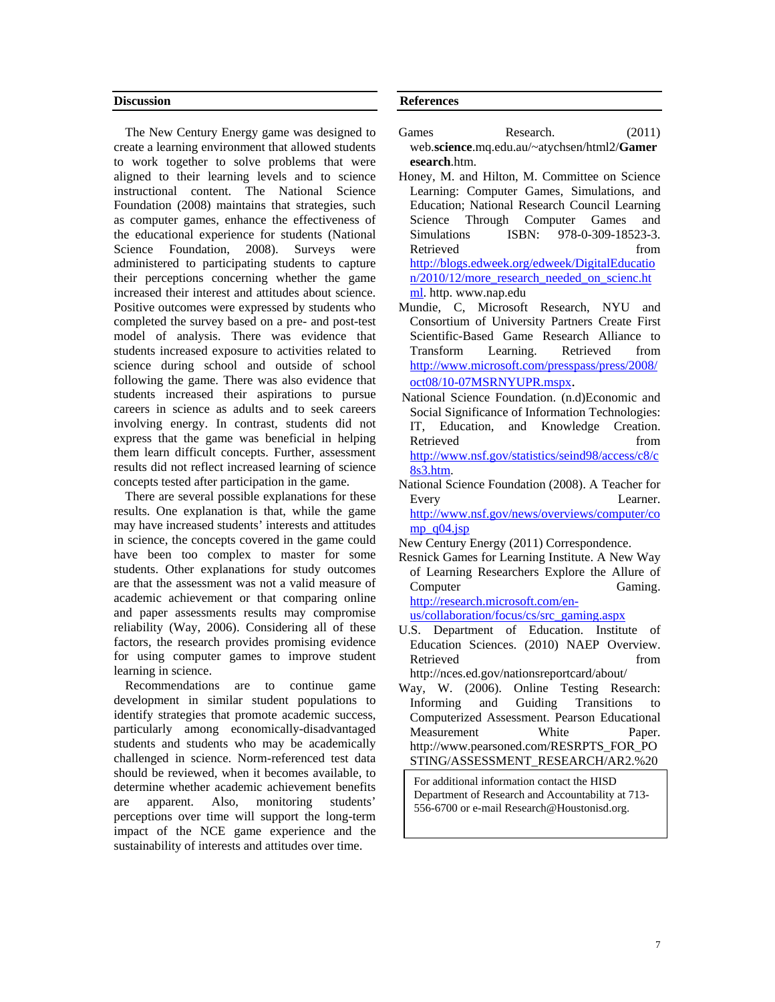#### **Discussion**

The New Century Energy game was designed to create a learning environment that allowed students to work together to solve problems that were aligned to their learning levels and to science instructional content. The National Science Foundation (2008) maintains that strategies, such as computer games, enhance the effectiveness of the educational experience for students (National Science Foundation, 2008). Surveys were administered to participating students to capture their perceptions concerning whether the game increased their interest and attitudes about science. Positive outcomes were expressed by students who completed the survey based on a pre- and post-test model of analysis. There was evidence that students increased exposure to activities related to science during school and outside of school following the game. There was also evidence that students increased their aspirations to pursue careers in science as adults and to seek careers involving energy. In contrast, students did not express that the game was beneficial in helping them learn difficult concepts. Further, assessment results did not reflect increased learning of science concepts tested after participation in the game.

 There are several possible explanations for these results. One explanation is that, while the game may have increased students' interests and attitudes in science, the concepts covered in the game could have been too complex to master for some students. Other explanations for study outcomes are that the assessment was not a valid measure of academic achievement or that comparing online and paper assessments results may compromise reliability (Way, 2006). Considering all of these factors, the research provides promising evidence for using computer games to improve student learning in science.

 Recommendations are to continue game development in similar student populations to identify strategies that promote academic success, particularly among economically-disadvantaged students and students who may be academically challenged in science. Norm-referenced test data should be reviewed, when it becomes available, to determine whether academic achievement benefits are apparent. Also, monitoring students' perceptions over time will support the long-term impact of the NCE game experience and the sustainability of interests and attitudes over time.

## **References**

- Games Research. (2011) web.**science**.mq.edu.au/~atychsen/html2/**Gamer esearch**.htm.
- Honey, M. and Hilton, M. Committee on Science Learning: Computer Games, Simulations, and Education; National Research Council Learning Science Through Computer Games and Simulations ISBN: 978-0-309-18523-3. Retrieved from the set of the set of the set of the set of the set of the set of the set of the set of the set of the set of the set of the set of the set of the set of the set of the set of the set of the set of the set o http://blogs.edweek.org/edweek/DigitalEducatio n/2010/12/more\_research\_needed\_on\_scienc.ht ml. http. www.nap.edu

Mundie, C, Microsoft Research, NYU and Consortium of University Partners Create First Scientific-Based Game Research Alliance to Transform Learning. Retrieved from http://www.microsoft.com/presspass/press/2008/

- oct08/10-07MSRNYUPR.mspx. National Science Foundation. (n.d)Economic and Social Significance of Information Technologies: IT, Education, and Knowledge Creation. Retrieved from  $\blacksquare$ http://www.nsf.gov/statistics/seind98/access/c8/c 8s3.htm.
- National Science Foundation (2008). A Teacher for Every Learner. http://www.nsf.gov/news/overviews/computer/co mp $q04$ .jsp

Resnick Games for Learning Institute. A New Way of Learning Researchers Explore the Allure of Computer Gaming. http://research.microsoft.com/en-

us/collaboration/focus/cs/src\_gaming.aspx

U.S. Department of Education. Institute of Education Sciences. (2010) NAEP Overview. Retrieved from  $\qquad \qquad$  from

http://nces.ed.gov/nationsreportcard/about/

Way, W. (2006). Online Testing Research: Informing and Guiding Transitions to Computerized Assessment. Pearson Educational Measurement White Paper. http://www.pearsoned.com/RESRPTS\_FOR\_PO STING/ASSESSMENT\_RESEARCH/AR2.%20

For additional information contact the HISD Department of Research and Accountability at 713- 556-6700 or e-mail Research@Houstonisd.org.

New Century Energy (2011) Correspondence.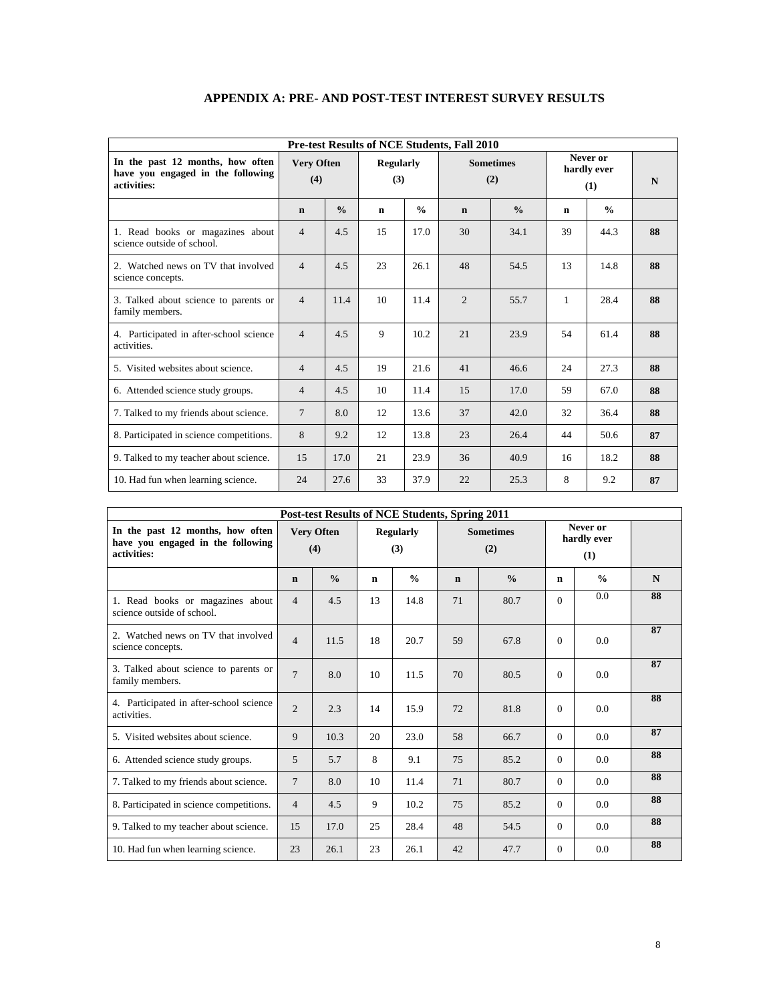| <b>Pre-test Results of NCE Students, Fall 2010</b>                                   |                                                                                |               |    |                                |                |               |             |               |    |  |  |
|--------------------------------------------------------------------------------------|--------------------------------------------------------------------------------|---------------|----|--------------------------------|----------------|---------------|-------------|---------------|----|--|--|
| In the past 12 months, how often<br>have you engaged in the following<br>activities: | <b>Very Often</b><br><b>Regularly</b><br><b>Sometimes</b><br>(4)<br>(3)<br>(2) |               |    | Never or<br>hardly ever<br>(1) | N              |               |             |               |    |  |  |
|                                                                                      | $\mathbf n$                                                                    | $\frac{0}{0}$ | n  | $\frac{0}{0}$                  | $\mathbf n$    | $\frac{0}{0}$ | $\mathbf n$ | $\frac{0}{0}$ |    |  |  |
| 1. Read books or magazines about<br>science outside of school.                       | $\overline{4}$                                                                 | 4.5           | 15 | 17.0                           | 30             | 34.1          | 39          | 44.3          | 88 |  |  |
| 2. Watched news on TV that involved<br>science concepts.                             | $\overline{4}$                                                                 | 4.5           | 23 | 26.1                           | 48             | 54.5          | 13          | 14.8          | 88 |  |  |
| 3. Talked about science to parents or<br>family members.                             | $\overline{4}$                                                                 | 11.4          | 10 | 11.4                           | $\overline{2}$ | 55.7          | 1           | 28.4          | 88 |  |  |
| 4. Participated in after-school science<br>activities.                               | $\overline{4}$                                                                 | 4.5           | 9  | 10.2                           | 21             | 23.9          | 54          | 61.4          | 88 |  |  |
| 5. Visited websites about science.                                                   | $\overline{4}$                                                                 | 4.5           | 19 | 21.6                           | 41             | 46.6          | 24          | 27.3          | 88 |  |  |
| 6. Attended science study groups.                                                    | $\overline{4}$                                                                 | 4.5           | 10 | 11.4                           | 15             | 17.0          | 59          | 67.0          | 88 |  |  |
| 7. Talked to my friends about science.                                               | $\overline{7}$                                                                 | 8.0           | 12 | 13.6                           | 37             | 42.0          | 32          | 36.4          | 88 |  |  |
| 8. Participated in science competitions.                                             | 8                                                                              | 9.2           | 12 | 13.8                           | 23             | 26.4          | 44          | 50.6          | 87 |  |  |
| 9. Talked to my teacher about science.                                               | 15                                                                             | 17.0          | 21 | 23.9                           | 36             | 40.9          | 16          | 18.2          | 88 |  |  |
| 10. Had fun when learning science.                                                   | 24                                                                             | 27.6          | 33 | 37.9                           | 22             | 25.3          | 8           | 9.2           | 87 |  |  |

## **APPENDIX A: PRE- AND POST-TEST INTEREST SURVEY RESULTS**

|                                                                                      |                | Post-test Results of NCE Students, Spring 2011 |                         |               |             |                         |          |                                |    |
|--------------------------------------------------------------------------------------|----------------|------------------------------------------------|-------------------------|---------------|-------------|-------------------------|----------|--------------------------------|----|
| In the past 12 months, how often<br>have you engaged in the following<br>activities: |                | <b>Very Often</b><br>(4)                       | <b>Regularly</b><br>(3) |               |             | <b>Sometimes</b><br>(2) |          | Never or<br>hardly ever<br>(1) |    |
|                                                                                      | $\mathbf n$    | $\frac{0}{0}$                                  | n                       | $\frac{0}{0}$ | $\mathbf n$ | $\frac{0}{0}$           | n        | $\frac{0}{0}$                  | N  |
| 1. Read books or magazines about<br>science outside of school.                       | $\overline{4}$ | 4.5                                            | 13                      | 14.8          | 71          | 80.7                    | $\Omega$ | 0.0                            | 88 |
| 2. Watched news on TV that involved<br>science concepts.                             | $\overline{4}$ | 11.5                                           | 18                      | 20.7          | 59          | 67.8                    | $\Omega$ | 0.0                            | 87 |
| 3. Talked about science to parents or<br>family members.                             | $\overline{7}$ | 8.0                                            | 10                      | 11.5          | 70          | 80.5                    | $\Omega$ | 0.0                            | 87 |
| 4. Participated in after-school science<br>activities.                               | $\overline{2}$ | 2.3                                            | 14                      | 15.9          | 72          | 81.8                    | $\Omega$ | 0.0                            | 88 |
| 5. Visited websites about science.                                                   | 9              | 10.3                                           | 20                      | 23.0          | 58          | 66.7                    | $\Omega$ | 0.0                            | 87 |
| 6. Attended science study groups.                                                    | 5              | 5.7                                            | 8                       | 9.1           | 75          | 85.2                    | $\Omega$ | 0.0                            | 88 |
| 7. Talked to my friends about science.                                               | 7              | 8.0                                            | 10                      | 11.4          | 71          | 80.7                    | $\Omega$ | 0.0                            | 88 |
| 8. Participated in science competitions.                                             | $\overline{4}$ | 4.5                                            | 9                       | 10.2          | 75          | 85.2                    | $\Omega$ | 0.0                            | 88 |
| 9. Talked to my teacher about science.                                               | 15             | 17.0                                           | 25                      | 28.4          | 48          | 54.5                    | $\Omega$ | 0.0                            | 88 |
| 10. Had fun when learning science.                                                   | 23             | 26.1                                           | 23                      | 26.1          | 42          | 47.7                    | $\Omega$ | 0.0                            | 88 |